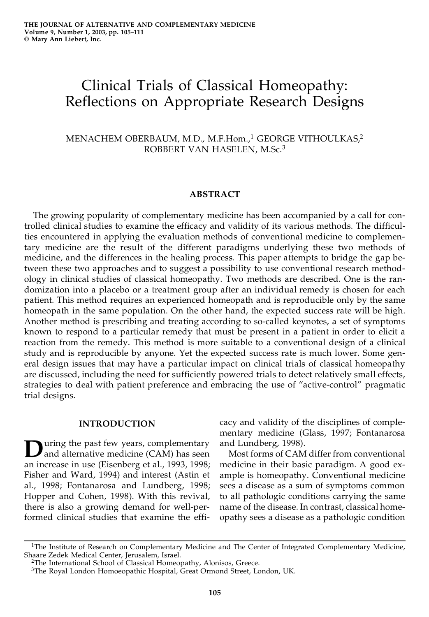# Clinical Trials of Classical Homeopathy: Reflections on Appropriate Research Designs

MENACHEM OBERBAUM, M.D., M.F.Hom.,<sup>1</sup> GEORGE VITHOULKAS,<sup>2</sup> ROBBERT VAN HASELEN, M.Sc.<sup>3</sup>

#### **ABSTRACT**

The growing popularity of complementary medicine has been accompanied by a call for controlled clinical studies to examine the efficacy and validity of its various methods. The difficulties encountered in applying the evaluation methods of conventional medicine to complementary medicine are the result of the different paradigms underlying these two methods of medicine, and the differences in the healing process. This paper attempts to bridge the gap between these two approaches and to suggest a possibility to use conventional research methodology in clinical studies of classical homeopathy. Two methods are described. One is the randomization into a placebo or a treatment group after an individual remedy is chosen for each patient. This method requires an experienced homeopath and is reproducible only by the same homeopath in the same population. On the other hand, the expected success rate will be high. Another method is prescribing and treating according to so-called keynotes, a set of symptoms known to respond to a particular remedy that must be present in a patient in order to elicit a reaction from the remedy. This method is more suitable to a conventional design of a clinical study and is reproducible by anyone. Yet the expected success rate is much lower. Some general design issues that may have a particular impact on clinical trials of classical homeopathy are discussed, including the need for sufficiently powered trials to detect relatively small effects, strategies to deal with patient preference and embracing the use of "active-control" pragmatic trial designs.

#### **INTRODUCTION**

**D**uring the past few years, complementary<br>
and alternative medicine (CAM) has seen uring the past few years, complementary an increase in use (Eisenberg et al., 1993, 1998; Fisher and Ward, 1994) and interest (Astin et al., 1998; Fontanarosa and Lundberg, 1998; Hopper and Cohen, 1998). With this revival, there is also a growing demand for well-performed clinical studies that examine the effi-

cacy and validity of the disciplines of complementary medicine (Glass, 1997; Fontanarosa and Lundberg, 1998).

Most forms of CAM differ from conventional medicine in their basic paradigm. A good example is homeopathy. Conventional medicine sees a disease as a sum of symptoms common to all pathologic conditions carrying the same name of the disease. In contrast, classical homeopathy sees a disease as a pathologic condition

<sup>&</sup>lt;sup>1</sup>The Institute of Research on Complementary Medicine and The Center of Integrated Complementary Medicine, Shaare Zedek Medical Center, Jerusalem, Israel.

<sup>2</sup>The International School of Classical Homeopathy, Alonisos, Greece.

<sup>&</sup>lt;sup>3</sup>The Royal London Homoeopathic Hospital, Great Ormond Street, London, UK.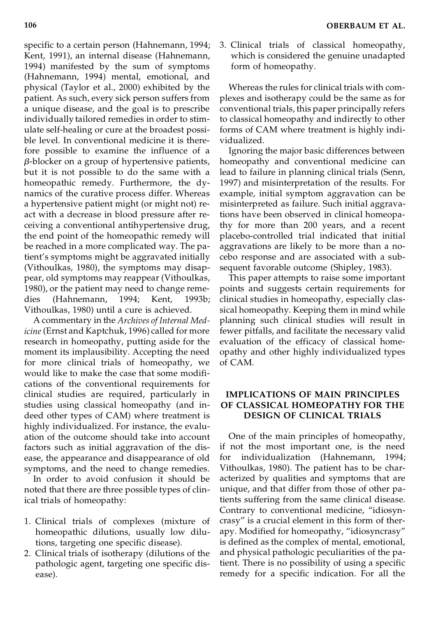specific to a certain person (Hahnemann, 1994; Kent, 1991), an internal disease (Hahnemann, 1994) manifested by the sum of symptoms (Hahnemann, 1994) mental, emotional, and physical (Taylor et al., 2000) exhibited by the patient. As such, every sick person suffers from a unique disease, and the goal is to prescribe individually tailored remedies in order to stimulate self-healing or cure at the broadest possible level. In conventional medicine it is therefore possible to examine the influence of a  $\beta$ -blocker on a group of hypertensive patients, but it is not possible to do the same with a homeopathic remedy. Furthermore, the dynamics of the curative process differ. Whereas a hypertensive patient might (or might not) react with a decrease in blood pressure after receiving a conventional antihypertensive drug, the end point of the homeopathic remedy will be reached in a more complicated way. The patient's symptoms might be aggravated initially (Vithoulkas, 1980), the symptoms may disappear, old symptoms may reappear (Vithoulkas, 1980), or the patient may need to change remedies (Hahnemann, 1994; Kent, 1993b; Vithoulkas, 1980) until a cure is achieved.

A commentary in the *Archives of Internal Medicine* (Ernst and Kaptchuk, 1996) called for more research in homeopathy, putting aside for the moment its implausibility. Accepting the need for more clinical trials of homeopathy, we would like to make the case that some modifications of the conventional requirements for clinical studies are required, particularly in studies using classical homeopathy (and indeed other types of CAM) where treatment is highly individualized. For instance, the evaluation of the outcome should take into account factors such as initial aggravation of the disease, the appearance and disappearance of old symptoms, and the need to change remedies.

In order to avoid confusion it should be noted that there are three possible types of clinical trials of homeopathy:

- 1. Clinical trials of complexes (mixture of homeopathic dilutions, usually low dilutions, targeting one specific disease).
- 2. Clinical trials of isotherapy (dilutions of the pathologic agent, targeting one specific disease).

3. Clinical trials of classical homeopathy, which is considered the genuine unadapted form of homeopathy.

Whereas the rules for clinical trials with complexes and isotherapy could be the same as for conventional trials, this paper principally refers to classical homeopathy and indirectly to other forms of CAM where treatment is highly individualized.

Ignoring the major basic differences between homeopathy and conventional medicine can lead to failure in planning clinical trials (Senn, 1997) and misinterpretation of the results. For example, initial symptom aggravation can be misinterpreted as failure. Such initial aggravations have been observed in clinical homeopathy for more than 200 years, and a recent placebo-controlled trial indicated that initial aggravations are likely to be more than a nocebo response and are associated with a subsequent favorable outcome (Shipley, 1983).

This paper attempts to raise some important points and suggests certain requirements for clinical studies in homeopathy, especially classical homeopathy. Keeping them in mind while planning such clinical studies will result in fewer pitfalls, and facilitate the necessary valid evaluation of the efficacy of classical homeopathy and other highly individualized types of CAM.

# **IMPLICATIONS OF MAIN PRINCIPLES OF CLASSICAL HOMEOPATHY FOR THE DESIGN OF CLINICAL TRIALS**

One of the main principles of homeopathy, if not the most important one, is the need individualization (Hahnemann, 1994; Vithoulkas, 1980). The patient has to be characterized by qualities and symptoms that are unique, and that differ from those of other patients suffering from the same clinical disease. Contrary to conventional medicine, "idiosyncrasy" is a crucial element in this form of therapy. Modified for homeopathy, "idiosyncrasy" is defined as the complex of mental, emotional, and physical pathologic peculiarities of the patient. There is no possibility of using a specific remedy for a specific indication. For all the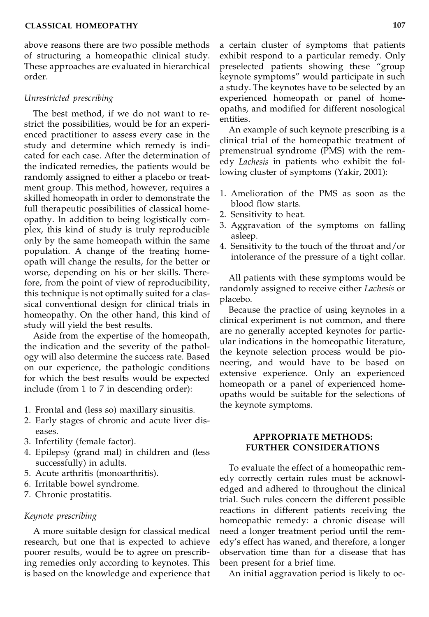above reasons there are two possible methods of structuring a homeopathic clinical study. These approaches are evaluated in hierarchical order.

#### *Unrestricted prescribing*

The best method, if we do not want to restrict the possibilities, would be for an experienced practitioner to assess every case in the study and determine which remedy is indicated for each case. After the determination of the indicated remedies, the patients would be randomly assigned to either a placebo or treatment group. This method, however, requires a skilled homeopath in order to demonstrate the full therapeutic possibilities of classical homeopathy. In addition to being logistically complex, this kind of study is truly reproducible only by the same homeopath within the same population. A change of the treating homeopath will change the results, for the better or worse, depending on his or her skills. Therefore, from the point of view of reproducibility, this technique is not optimally suited for a classical conventional design for clinical trials in homeopathy. On the other hand, this kind of study will yield the best results.

Aside from the expertise of the homeopath, the indication and the severity of the pathology will also determine the success rate. Based on our experience, the pathologic conditions for which the best results would be expected include (from 1 to 7 in descending order):

- 1. Frontal and (less so) maxillary sinusitis.
- 2. Early stages of chronic and acute liver diseases.
- 3. Infertility (female factor).
- 4. Epilepsy (grand mal) in children and (less successfully) in adults.
- 5. Acute arthritis (monoarthritis).
- 6. Irritable bowel syndrome.
- 7. Chronic prostatitis.

# *Keynote prescribing*

A more suitable design for classical medical research, but one that is expected to achieve poorer results, would be to agree on prescribing remedies only according to keynotes. This is based on the knowledge and experience that a certain cluster of symptoms that patients exhibit respond to a particular remedy. Only preselected patients showing these "group keynote symptoms" would participate in such a study. The keynotes have to be selected by an experienced homeopath or panel of homeopaths, and modified for different nosological entities.

An example of such keynote prescribing is a clinical trial of the homeopathic treatment of premenstrual syndrome (PMS) with the remedy *Lachesis* in patients who exhibit the following cluster of symptoms (Yakir, 2001):

- 1. Amelioration of the PMS as soon as the blood flow starts.
- 2. Sensitivity to heat.
- 3. Aggravation of the symptoms on falling asleep.
- 4. Sensitivity to the touch of the throat and/or intolerance of the pressure of a tight collar.

All patients with these symptoms would be randomly assigned to receive either *Lachesis* or placebo.

Because the practice of using keynotes in a clinical experiment is not common, and there are no generally accepted keynotes for particular indications in the homeopathic literature, the keynote selection process would be pioneering, and would have to be based on extensive experience. Only an experienced homeopath or a panel of experienced homeopaths would be suitable for the selections of the keynote symptoms.

## **APPROPRIATE METHODS: FURTHER CONSIDERATIONS**

To evaluate the effect of a homeopathic remedy correctly certain rules must be acknowledged and adhered to throughout the clinical trial. Such rules concern the different possible reactions in different patients receiving the homeopathic remedy: a chronic disease will need a longer treatment period until the remedy's effect has waned, and therefore, a longer observation time than for a disease that has been present for a brief time.

An initial aggravation period is likely to oc-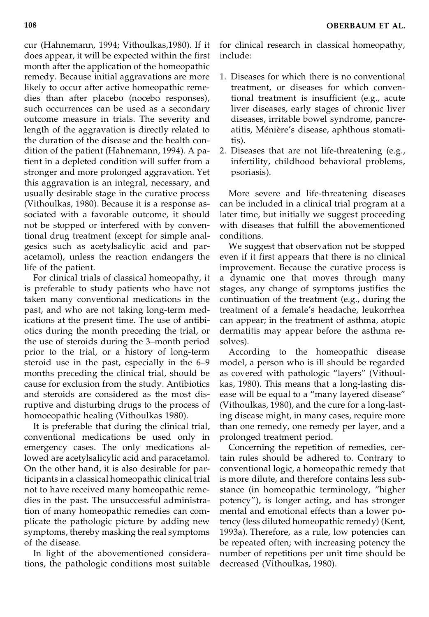cur (Hahnemann, 1994; Vithoulkas,1980). If it does appear, it will be expected within the first month after the application of the homeopathic remedy. Because initial aggravations are more likely to occur after active homeopathic remedies than after placebo (nocebo responses), such occurrences can be used as a secondary outcome measure in trials. The severity and length of the aggravation is directly related to the duration of the disease and the health condition of the patient (Hahnemann, 1994). A patient in a depleted condition will suffer from a stronger and more prolonged aggravation. Yet this aggravation is an integral, necessary, and usually desirable stage in the curative process (Vithoulkas, 1980). Because it is a response associated with a favorable outcome, it should not be stopped or interfered with by conventional drug treatment (except for simple analgesics such as acetylsalicylic acid and paracetamol), unless the reaction endangers the life of the patient.

For clinical trials of classical homeopathy, it is preferable to study patients who have not taken many conventional medications in the past, and who are not taking long-term medications at the present time. The use of antibiotics during the month preceding the trial, or the use of steroids during the 3–month period prior to the trial, or a history of long-term steroid use in the past, especially in the 6–9 months preceding the clinical trial, should be cause for exclusion from the study. Antibiotics and steroids are considered as the most disruptive and disturbing drugs to the process of homoeopathic healing (Vithoulkas 1980).

It is preferable that during the clinical trial, conventional medications be used only in emergency cases. The only medications allowed are acetylsalicylic acid and paracetamol. On the other hand, it is also desirable for participants in a classical homeopathic clinical trial not to have received many homeopathic remedies in the past. The unsuccessful administration of many homeopathic remedies can complicate the pathologic picture by adding new symptoms, thereby masking the real symptoms of the disease.

In light of the abovementioned considerations, the pathologic conditions most suitable for clinical research in classical homeopathy, include:

- 1. Diseases for which there is no conventional treatment, or diseases for which conventional treatment is insufficient (e.g., acute liver diseases, early stages of chronic liver diseases, irritable bowel syndrome, pancreatitis, Ménière's disease, aphthous stomatitis).
- 2. Diseases that are not life-threatening (e.g., infertility, childhood behavioral problems, psoriasis).

More severe and life-threatening diseases can be included in a clinical trial program at a later time, but initially we suggest proceeding with diseases that fulfill the abovementioned conditions.

We suggest that observation not be stopped even if it first appears that there is no clinical improvement. Because the curative process is a dynamic one that moves through many stages, any change of symptoms justifies the continuation of the treatment (e.g., during the treatment of a female's headache, leukorrhea can appear; in the treatment of asthma, atopic dermatitis may appear before the asthma resolves).

According to the homeopathic disease model, a person who is ill should be regarded as covered with pathologic "layers" (Vithoulkas, 1980). This means that a long-lasting disease will be equal to a "many layered disease" (Vithoulkas, 1980), and the cure for a long-lasting disease might, in many cases, require more than one remedy, one remedy per layer, and a prolonged treatment period.

Concerning the repetition of remedies, certain rules should be adhered to. Contrary to conventional logic, a homeopathic remedy that is more dilute, and therefore contains less substance (in homeopathic terminology, "higher potency"), is longer acting, and has stronger mental and emotional effects than a lower potency (less diluted homeopathic remedy) (Kent, 1993a). Therefore, as a rule, low potencies can be repeated often; with increasing potency the number of repetitions per unit time should be decreased (Vithoulkas, 1980).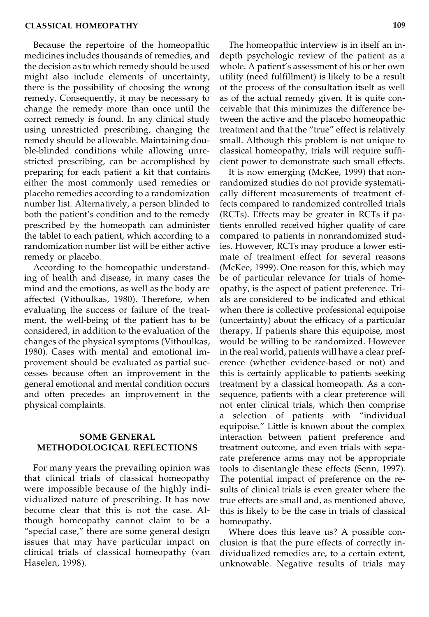Because the repertoire of the homeopathic medicines includes thousands of remedies, and the decision as to which remedy should be used might also include elements of uncertainty, there is the possibility of choosing the wrong remedy. Consequently, it may be necessary to change the remedy more than once until the correct remedy is found. In any clinical study using unrestricted prescribing, changing the remedy should be allowable. Maintaining double-blinded conditions while allowing unrestricted prescribing, can be accomplished by preparing for each patient a kit that contains either the most commonly used remedies or placebo remedies according to a randomization number list. Alternatively, a person blinded to both the patient's condition and to the remedy prescribed by the homeopath can administer the tablet to each patient, which according to a randomization number list will be either active remedy or placebo.

According to the homeopathic understanding of health and disease, in many cases the mind and the emotions, as well as the body are affected (Vithoulkas, 1980). Therefore, when evaluating the success or failure of the treatment, the well-being of the patient has to be considered, in addition to the evaluation of the changes of the physical symptoms (Vithoulkas, 1980). Cases with mental and emotional improvement should be evaluated as partial successes because often an improvement in the general emotional and mental condition occurs and often precedes an improvement in the physical complaints.

## **SOME GENERAL METHODOLOGICAL REFLECTIONS**

For many years the prevailing opinion was that clinical trials of classical homeopathy were impossible because of the highly individualized nature of prescribing. It has now become clear that this is not the case. Although homeopathy cannot claim to be a "special case," there are some general design issues that may have particular impact on clinical trials of classical homeopathy (van Haselen, 1998).

The homeopathic interview is in itself an indepth psychologic review of the patient as a whole. A patient's assessment of his or her own utility (need fulfillment) is likely to be a result of the process of the consultation itself as well as of the actual remedy given. It is quite conceivable that this minimizes the difference between the active and the placebo homeopathic treatment and that the "true" effect is relatively small. Although this problem is not unique to classical homeopathy, trials will require sufficient power to demonstrate such small effects.

It is now emerging (McKee, 1999) that nonrandomized studies do not provide systematically different measurements of treatment effects compared to randomized controlled trials (RCTs). Effects may be greater in RCTs if patients enrolled received higher quality of care compared to patients in nonrandomized studies. However, RCTs may produce a lower estimate of treatment effect for several reasons (McKee, 1999). One reason for this, which may be of particular relevance for trials of homeopathy, is the aspect of patient preference. Trials are considered to be indicated and ethical when there is collective professional equipoise (uncertainty) about the efficacy of a particular therapy. If patients share this equipoise, most would be willing to be randomized. However in the real world, patients will have a clear preference (whether evidence-based or not) and this is certainly applicable to patients seeking treatment by a classical homeopath. As a consequence, patients with a clear preference will not enter clinical trials, which then comprise a selection of patients with "individual equipoise." Little is known about the complex interaction between patient preference and treatment outcome, and even trials with separate preference arms may not be appropriate tools to disentangle these effects (Senn, 1997). The potential impact of preference on the results of clinical trials is even greater where the true effects are small and, as mentioned above, this is likely to be the case in trials of classical homeopathy.

Where does this leave us? A possible conclusion is that the pure effects of correctly individualized remedies are, to a certain extent, unknowable. Negative results of trials may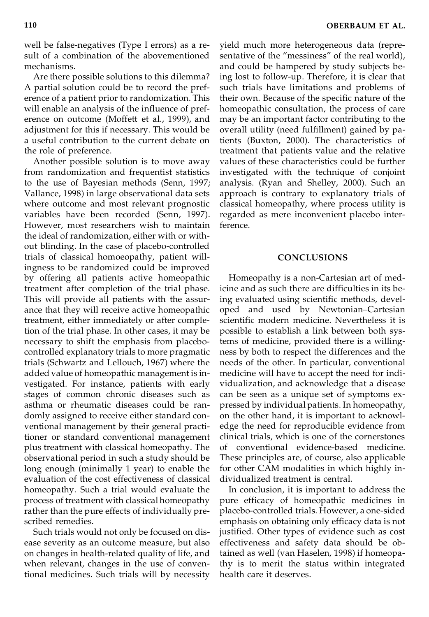well be false-negatives (Type I errors) as a result of a combination of the abovementioned mechanisms.

Are there possible solutions to this dilemma? A partial solution could be to record the preference of a patient prior to randomization. This will enable an analysis of the influence of preference on outcome (Moffett et al., 1999), and adjustment for this if necessary. This would be a useful contribution to the current debate on the role of preference.

Another possible solution is to move away from randomization and frequentist statistics to the use of Bayesian methods (Senn, 1997; Vallance, 1998) in large observational data sets where outcome and most relevant prognostic variables have been recorded (Senn, 1997). However, most researchers wish to maintain the ideal of randomization, either with or without blinding. In the case of placebo-controlled trials of classical homoeopathy, patient willingness to be randomized could be improved by offering all patients active homeopathic treatment after completion of the trial phase. This will provide all patients with the assurance that they will receive active homeopathic treatment, either immediately or after completion of the trial phase. In other cases, it may be necessary to shift the emphasis from placebocontrolled explanatory trials to more pragmatic trials (Schwartz and Lellouch, 1967) where the added value of homeopathic management is investigated. For instance, patients with early stages of common chronic diseases such as asthma or rheumatic diseases could be randomly assigned to receive either standard conventional management by their general practitioner or standard conventional management plus treatment with classical homeopathy. The observational period in such a study should be long enough (minimally 1 year) to enable the evaluation of the cost effectiveness of classical homeopathy. Such a trial would evaluate the process of treatment with classical homeopathy rather than the pure effects of individually prescribed remedies.

Such trials would not only be focused on disease severity as an outcome measure, but also on changes in health-related quality of life, and when relevant, changes in the use of conventional medicines. Such trials will by necessity yield much more heterogeneous data (representative of the "messiness" of the real world), and could be hampered by study subjects being lost to follow-up. Therefore, it is clear that such trials have limitations and problems of their own. Because of the specific nature of the homeopathic consultation, the process of care may be an important factor contributing to the overall utility (need fulfillment) gained by patients (Buxton, 2000). The characteristics of treatment that patients value and the relative values of these characteristics could be further investigated with the technique of conjoint analysis. (Ryan and Shelley, 2000). Such an approach is contrary to explanatory trials of classical homeopathy, where process utility is regarded as mere inconvenient placebo interference.

## **CONCLUSIONS**

Homeopathy is a non-Cartesian art of medicine and as such there are difficulties in its being evaluated using scientific methods, developed and used by Newtonian–Cartesian scientific modern medicine. Nevertheless it is possible to establish a link between both systems of medicine, provided there is a willingness by both to respect the differences and the needs of the other. In particular, conventional medicine will have to accept the need for individualization, and acknowledge that a disease can be seen as a unique set of symptoms expressed by individual patients. In homeopathy, on the other hand, it is important to acknowledge the need for reproducible evidence from clinical trials, which is one of the cornerstones of conventional evidence-based medicine. These principles are, of course, also applicable for other CAM modalities in which highly individualized treatment is central.

In conclusion, it is important to address the pure efficacy of homeopathic medicines in placebo-controlled trials. However, a one-sided emphasis on obtaining only efficacy data is not justified. Other types of evidence such as cost effectiveness and safety data should be obtained as well (van Haselen, 1998) if homeopathy is to merit the status within integrated health care it deserves.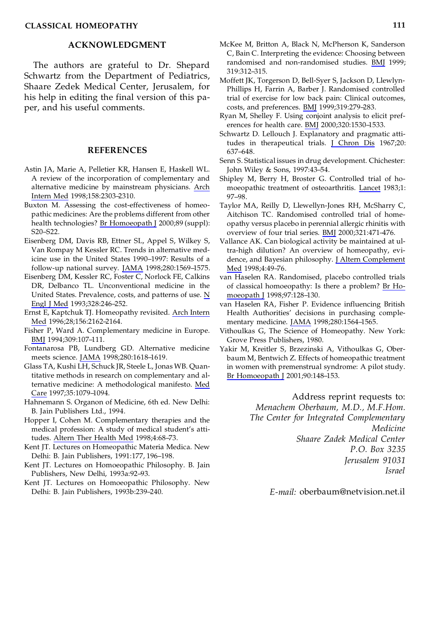#### **ACKNOWLEDGMENT**

The authors are grateful to Dr. Shepard Schwartz from the Department of Pediatrics, Shaare Zedek Medical Center, Jerusalem, for his help in editing the final version of this paper, and his useful comments.

## **REFERENCES**

- Astin JA, Marie A, Pelletier KR, Hansen E, Haskell WL. A review of the incorporation of complementary and alternative medicine by mainstream physicians. Arch Intern Med 1998;158:2303–2310.
- Buxton M. Assessing the cost-effectiveness of homeopathic medicines: Are the problems different from other health technologies? Br Homoeopath J 2000;89 (suppl): S20–S22.
- Eisenberg DM, Davis RB, Ettner SL, Appel S, Wilkey S, Van Rompay M Kessler RC. Trends in alternative medicine use in the United States 1990–1997: Results of a follow-up national survey. JAMA 1998;280:1569–1575.
- Eisenberg DM, Kessler RC, Foster C, Norlock FE, Calkins DR, Delbanco TL. Unconventional medicine in the United States. Prevalence, costs, and patterns of use. N Engl J Med 1993;328:246–252.
- Ernst E, Kaptchuk TJ. Homeopathy revisited. Arch Intern Med 1996;28;156:2162–2164.
- Fisher P, Ward A. Complementary medicine in Europe. BMJ 1994;309:107–111.
- Fontanarosa PB, Lundberg GD. Alternative medicine meets science. JAMA 1998;280:1618–1619.
- Glass TA, Kushi LH, Schuck JR, Steele L, Jonas WB. Quantitative methods in research on complementary and alternative medicine: A methodological manifesto. Med Care 1997;35:1079–1094.
- Hahnemann S. Organon of Medicine, 6th ed. New Delhi: B. Jain Publishers Ltd., 1994.
- Hopper I, Cohen M. Complementary therapies and the medical profession: A study of medical student's attitudes. Altern Ther Health Med 1998;4:68–73.
- Kent JT. Lectures on Homeopathic Materia Medica. New Delhi: B. Jain Publishers, 1991:177, 196–198.
- Kent JT. Lectures on Homoeopathic Philosophy. B. Jain Publishers, New Delhi, 1993a:92–93.
- Kent JT. Lectures on Homoeopathic Philosophy. New Delhi: B. Jain Publishers, 1993b:239–240.
- McKee M, Britton A, Black N, McPherson K, Sanderson C, Bain C. Interpreting the evidence: Choosing between randomised and non-randomised studies. BMJ 1999; 319:312–315.
- Moffett JK, Torgerson D, Bell-Syer S, Jackson D, Llewlyn-Phillips H, Farrin A, Barber J. Randomised controlled trial of exercise for low back pain: Clinical outcomes, costs, and preferences. BMJ 1999;319:279–283.
- Ryan M, Shelley F. Using conjoint analysis to elicit pref erences for health care. BMJ 2000;320:1530–1533.
- Schwartz D. Lellouch J. Explanatory and pragmatic attitudes in therapeutical trials. J Chron Dis 1967;20: 637–648.
- Senn S. Statistical issues in drug development. Chichester: John Wiley & Sons, 1997:43–54.
- Shipley M, Berry H, Broster G. Controlled trial of homoeopathic treatment of osteoarthritis. Lancet 1983;1: 97–98.
- Taylor MA, Reilly D, Llewellyn-Jones RH, McSharry C, Aitchison TC. Randomised controlled trial of homeopathy versus placebo in perennial allergic rhinitis with overview of four trial series. BMJ 2000;321:471–476.
- Vallance AK. Can biological activity be maintained at ultra-high dilution? An overview of homeopathy, evidence, and Bayesian philosophy. J Altern Complement Med 1998;4:49–76.
- van Haselen RA. Randomised, placebo controlled trials of classical homoeopathy: Is there a problem? Br Homoeopath J 1998;97:128–130.
- van Haselen RA, Fisher P. Evidence influencing British Health Authorities' decisions in purchasing complementary medicine. JAMA 1998;280:1564–1565.
- Vithoulkas G, The Science of Homeopathy. New York: Grove Press Publishers, 1980.
- Yakir M, Kreitler S, Brzezinski A, Vithoulkas G, Oberbaum M, Bentwich Z. Effects of homeopathic treatment in women with premenstrual syndrome: A pilot study. Br Homoeopath J 2001;90:148–153.

Address reprint requests to: *Menachem Oberbaum, M.D., M.F.Hom. The Center for Integrated Complementary Medicine Shaare Zadek Medical Center P.O. Box 3235 Jerusalem 91031 Israel*

*E-mail:* oberbaum@netvision.net.il